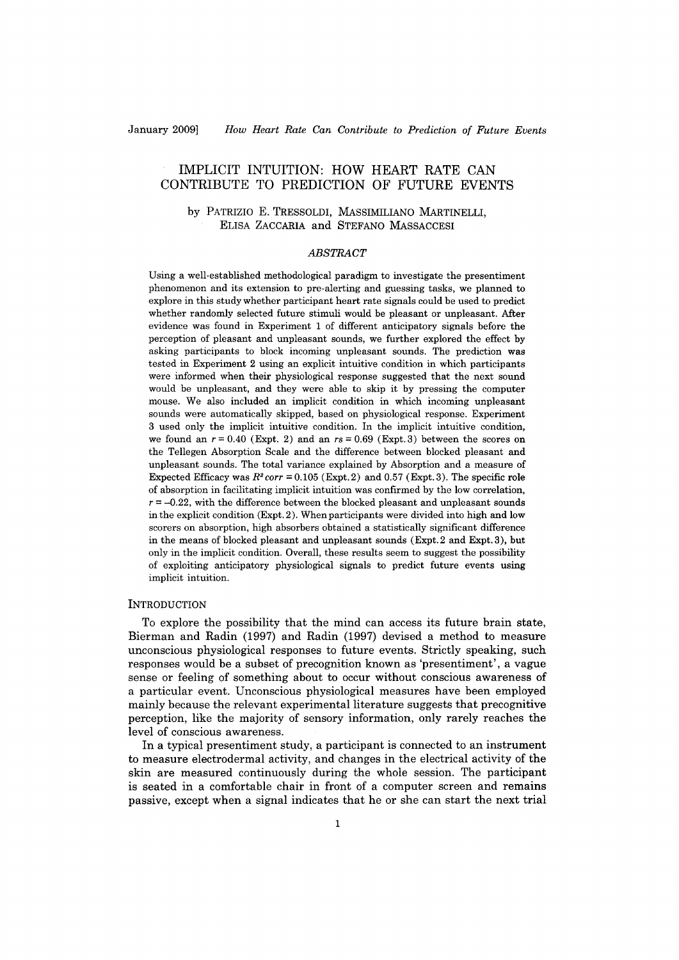# IMPLICIT INTUITION: HOW HEART RATE CAN CONTRIBUTE TO PREDICTION OF FUTURE EVENTS

by PATRIZIO E. TRESSOLDI, MASSIMILIANO MARTINELLI, ELISA ZACCARIA and STEFANO MASSACCESI

# *ABSTRACT*

Using a well-established methodological paradigm to investigate the presentiment phenomenon and its extension to pre-alerting and guessing tasks, we planned to explore in this study whether participant heart rate signals could be used to predict whether randomly selected future stimuli would be pleasant or unpleasant. After evidence was found in Experiment 1 of different anticipatory signals before the perception of pleasant and unpleasant sounds, we further explored the effect by asking participants to block incoming unpleasant sounds. The prediction was tested in Experiment 2 using an explicit intuitive condition in which participants were informed when their physiological response suggested that the next sound would be unpleasant, and they were able to skip it by pressing the computer mouse. We also included an implicit condition in which incoming unpleasant sounds were automatically skipped, based on physiological response. Experiment 3 used only the implicit intuitive condition. In the implicit intuitive condition, we found an  $r = 0.40$  (Expt. 2) and an  $rs = 0.69$  (Expt. 3) between the scores on the Tellegen Absorption Scale and the difference between blocked pleasant and unpleasant sounds. The total variance explained by Absorption and a measure of Expected Efficacy was  $R^2$  *corr* = 0.105 (Expt.2) and 0.57 (Expt.3). The specific role of absorption in facilitating implicit intuition was confirmed by the low correlation,  $r = -0.22$ , with the difference between the blocked pleasant and unpleasant sounds in the explicit condition  $(Expt.2)$ . When participants were divided into high and low scorers on absorption, high absorbers obtained a statistically significant difference in the means of blocked pleasant and unpleasant sounds (Expt.2 and Expt. 3), but only in the implicit condition. Overall, these results seem to suggest the possibility of exploiting anticipatory physiological signals to predict future events using implicit intuition.

# **INTRODUCTION**

To explore the possibility that the mind can access its future brain state, Bierman and Radin (1997) and Radin (1997) devised a method to measure unconscious physiological responses to future events. Strictly speaking, such responses would be a subset of precognition known as 'presentiment', a vague sense or feeling of something about to occur without conscious awareness of a particular event. Unconscious physiological measures have been employed mainly because the relevant experimentalliterature suggests that precognitive perception, like the majority of sensory information, only rarely reaches the level of conscious awareness.

In a typical presentiment study, a participant is connected to an instrument to measure electrodermal activity, and changes in the electrical activity of the skin are measured continuously during the whole session. The participant is seated in a comfortable chair in front of a computer screen and remains passive, except when a signal indicates that he or she can start the next trial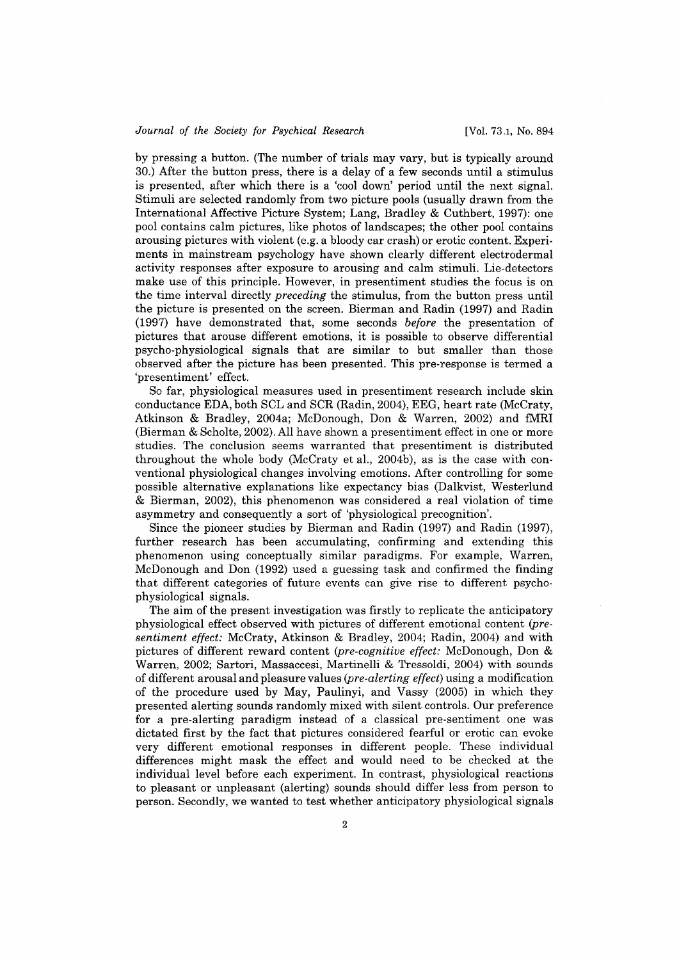by pressing a button. (The number of trials may vary, but is typicalIy around 30.) After the button press, there is a delay of a few seconds until a stimulus is presented, after which there is a 'cool down' period until the next signal. Stimuli are selected randomly from two picture pools (usualIy drawn from the International Affective Picture System; Lang, Bradley & Cuthbert, 1997): one pool contains calm pictures, like photos of landscapes; the other pool contains arousing pictures with violent (e.g. a bloody car crash) or erotic content. Experiments in mainstream psychology have shown clearly different electrodermal activity responses after exposure to arousing and calm stimuli. Lie-detectors make use of this principle. However, in presentiment studies the focus is on the time interval directly *preceding* the stimulus, from the button press until the picture is presented on the screen. Bierman and Radin (1997) and Radin (1997) have demonstrated that, some seconds *before* the presentation of pictures that arouse different emotions, it is possible to observe differential psycho-physiological signals that are similar to but smaller than those observed after the picture has been presented. This pre-response is termed a 'presentiment' effect.

So far, physiological measures used in presentiment research include skin conductance EDA, both SCL and SCR (Radin, 2004), EEG, heart rate (McCraty, Atkinson & Bradley, 2004a; McDonough, Don & Warren, 2002) and fMRI (Bierman & Scholte, 2002). AlI have shown a presentiment effect in one or more studies. The conclusion seems warranted that presentiment is distributed throughout the whole body (McCraty et al., 2004b), as is the case with conventional physiological changes involving emotions. After controlling for some possible alternative explanations like expectancy bias (Dalkvist, Westerlund & Bierman, 2002), this phenomenon was considered a real violation of time asymmetry and consequently a sort of 'physiological precognition'.

Since the pioneer studies by Bierman and Radin (1997) and Radin (1997), further research has been accumulating, confirming and extending this phenomenon using conceptualIy similar paradigms. For example, Warren, McDonough and Don (1992) used a guessing task and confirmed the finding that different categories of future events can give rise to different psychophysiological signals.

The aim of the present investigation was firstly to replicate the anticipatory physiological effect observed with pictures of different emotional content *(presentiment effect:* McCraty, Atkinson & Bradley, 2004; Radin, 2004) and with pictures of different reward content *(pre-cognitive effect:* McDonough, Don & Warren, 2002; Sartori, Massaccesi, Martinelli & Tressoldi, 2004) with sounds of different arousal and pleasure values *(pre-alerting effect)* using a modification of the procedure used by May, Paulinyi, and Vassy (2005) in which they presented alerting sounds randomly mixed with silent controls. Our preference for a pre-alerting paradigm instead of a classical pre-sentiment one was dictated first by the fact that pictures considered fearful or erotic can evoke very different emotional responses in different people. These individuaI differences might mask the effect and would need to be checked at the individuaI level before each experiment. In contrast, physiological reactions to pleasant or unpleasant (alerting) sounds should differ less from person to person. Secondly, we wanted to test whether anticipatory physiological signals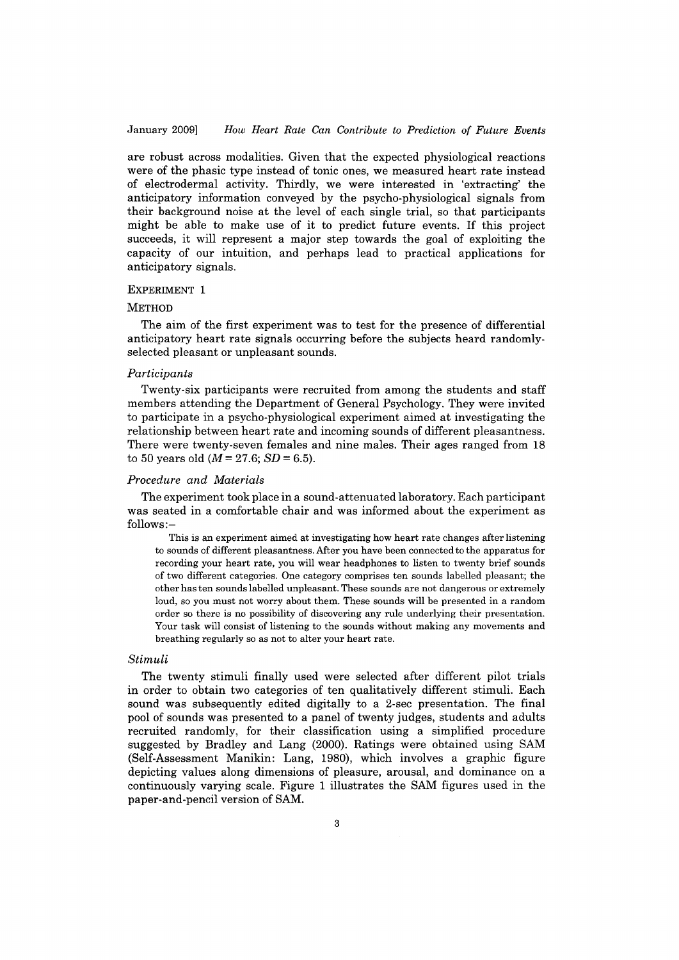# January 2009] *How Heart Rate Can Contribute to Prediction or Future Events*

are robust across modalities. Given that the expected physiological reactions were of the phasic type instead of tonic ones, we measured heart rate instead of electrodermal activity. Thirdly, we were interested in 'extracting' the anticipatory information conveyed by the psycho-physiological signals from their background noise at the level of each single trial, so that participants might be able to make use of it to predict future events. If this project succeeds, it will represent a major step towards the goal of exploiting the capacity of our intuition, and perhaps lead to practical applications for anticipatory signals.

## EXPERIMENT 1

# **METHOD**

The aim of the first experiment was to test for the presence of differential anticipatory heart rate signals occurring before the subjects heard randomlyselected pleasant or unpleasant sounds.

# *Participants*

Twenty-six participants were recruited from among the students and staff members attending the Department of GeneraI Psychology. They were invited to participate in a psycho-physiological experiment aimed at investigating the relationship between heart rate and incoming sounds of different pleasantness. There were twenty-seven females and nine males. Their ages ranged from 18 to 50 years old  $(M = 27.6; SD = 6.5)$ .

## *Procedure and Materials*

The experiment took pIace in a sound-attenuated laboratory. Each participant was seated in a comfortable chair and was informed about the experiment as follows:-

This is an experiment aimed at investigating how heart rate changes after listening to sounds of different pleasantness. Mter you have been connected to the apparatus for recording your heart rate, you will wear headphones to listen to twenty brief sounds of two different categories. One category comprises ten sounds labelled pleasant; the other has ten sounds labelled unpleasant. These sounds are not dangerous or extremely loud, so you must not worry about them. These sounds will be presented in a random order so there is no possibility of discovering any rule underlying their presentation. Your task will consist of listening to the sounds without making any movements and breathing regularly so as not to alter your heart rate.

## *Stimuli*

The twenty stimuli finally used were selected after different pilot trials in order to obtain two categories of ten qualitatively different stimuli. Each sound was subsequently edited digitally to a 2-sec presentation. The final pool of sounds was presented to a panel of twenty judges, students and adults recruited randomly, for their classification using a simplified procedure suggested by Bradley and Lang (2000). Ratings were obtained using SAM (Self-Assessment Manikin: Lang, 1980), which involves a graphic figure depicting values along dimensions of pleasure, arousal, and dominance on a continuously varying scale. Figure 1 illustrates the SAM figures used in the paper-and-pencil version of SAM.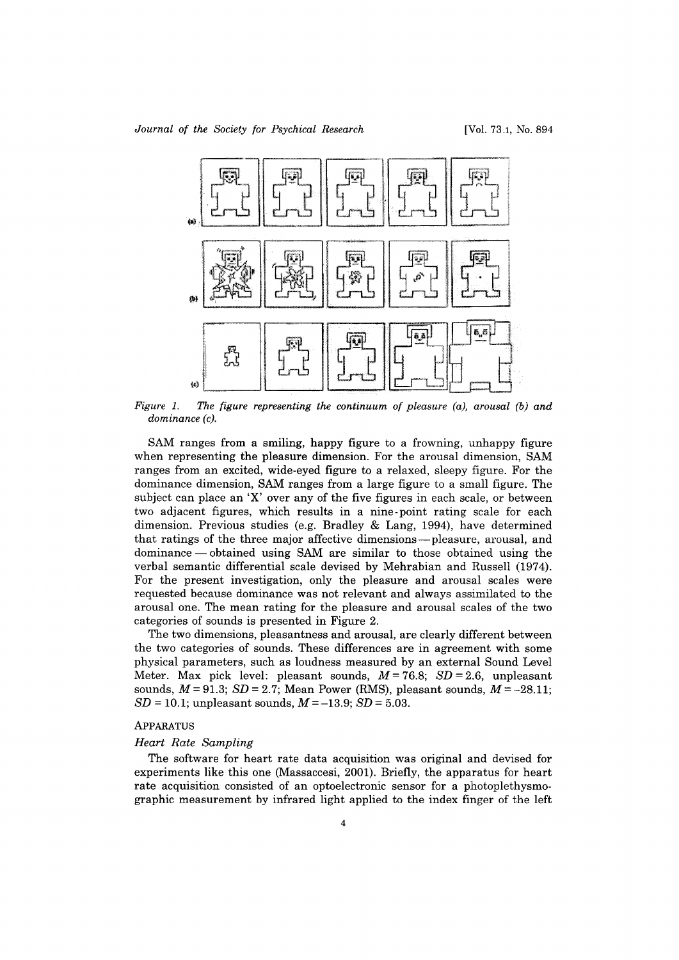

*Figure* 1. *The figure representing the continuum of pleasure (a), arousal (b) and dominance (c).* 

SAM ranges from a smiling, happy figure to a frowning, unhappy figure when representing the pleasure dimension. For the arousal dimension, SAM ranges from an excited, wide-eyed figure to a relaxed, sleepy figure. For the dominance dimension, SAM ranges from a large figure to a small figure. The subject can place an 'X' over any of the five figures in each scale, or between two adjacent figures, which results in a nine -point rating scale for each dimension. Previous studies (e.g. Bradley & Lang, 1994), have determined that ratings of the three major affective dimensions-pleasure, arousal, and dominance — obtained using SAM are similar to those obtained using the verbal semantic differential scale devised by Mehrabian and Russell (1974). For the present investigation, only the pleasure and arousal scales were requested because dominane e was not relevant and always assimilated to the arousal one. The mean rating for the pleasure and arousal scales of the two categories of sounds is presented in Figure 2.

The two dimensions, pleasantness and arousal, are clearly different between the two categories of sounds. These differences are in agreement with some physical parameters, such as loudness measured by an external Sound Level Meter. Max pick level: pleasant sounds, *M* = 76.8; *SD* = 2.6, unpleasant sounds,  $M = 91.3$ ;  $SD = 2.7$ ; Mean Power (RMS), pleasant sounds,  $M = -28.11$ ; *SD* = 10.1; unpleasant sounds,  $M = -13.9$ ; *SD* = 5.03.

# ApPARATUS

# *Heart Rate Sampling*

The software for heart rate data acquisition was original and devised for experiments like this one (Massaccesi, 2001). Briefly, the apparatus for heart rate acquisition consisted of an optoelectronic sensor for a photoplethysmographic measurement by infrared light applied to the index finger of the left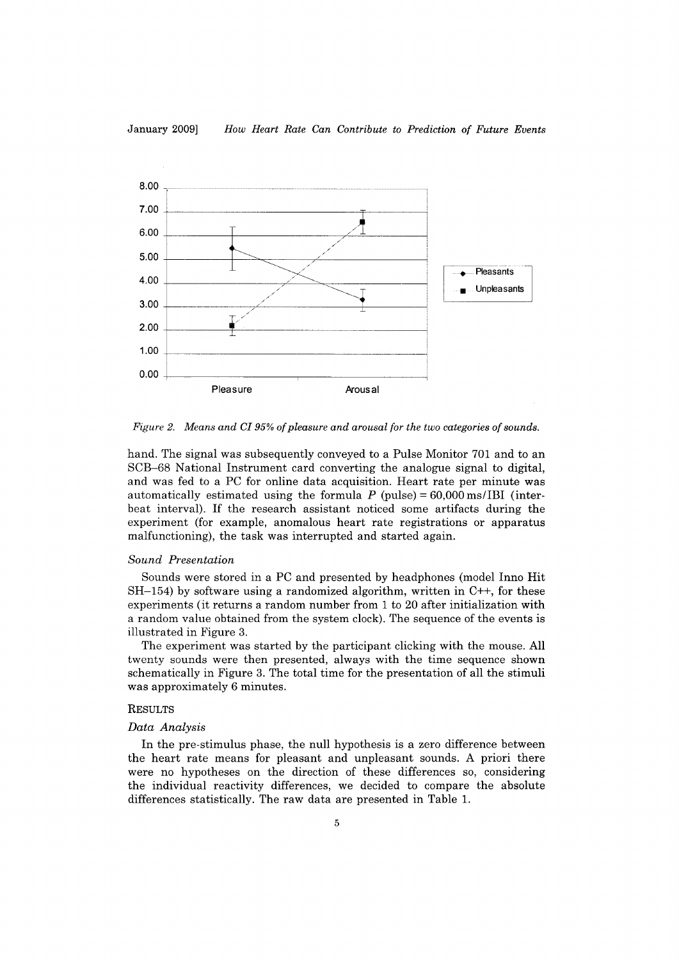

*Figure* 2. *Means and CI* 95% *oi pleasure and arousal for the two categories of sounds.* 

hand. The signal was subsequently conveyed to a Pulse Monitor 701 and to an 8CB-68 National Instrument card converting the analogue signal to digitaI, and was fed to a PC for online data acquisition. Heart rate per minute was automatically estimated using the formula  $P$  (pulse) = 60,000 ms/IBI (interbeat interval). If the research assistant noticed some artifacts during the experiment (for example, anomalous heart rate registrations or apparatus malfunctioning), the task was interrupted and started again.

#### *Sound Presentation*

80unds were stored in a PC and presented by headphones (model Inno Hit  $SH-154$ ) by software using a randomized algorithm, written in  $C++$ , for these experiments (it returns a random number from 1 to 20 after initialization with a random value obtained from the system dock). The sequence of the events is illustrated in Figure 3.

The experiment was started by the participant dicking with the mouse. AlI twenty sounds were then presented, always with the time sequence shown schematicalIy in Figure 3. The total time for the presentation of alI the stimuli was approximately 6 minutes.

# **RESULTS**

#### *Data Analysis*

In the pre-stimulus phase, the null hypothesis is a zero difference between the heart rate means for pleasant and unpleasant sounds. A priori there were no hypotheses on the direction of these differences so, considering the individuaI reactivity differences, we decided to compare the absolute differences statisticalIy. The raw data are presented in Table 1.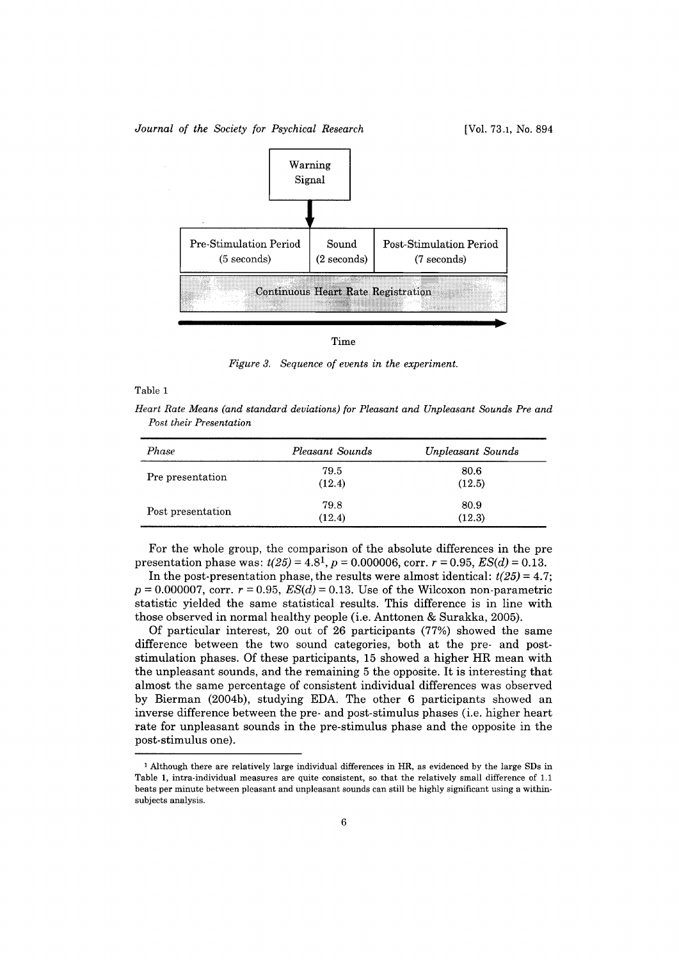#### *Journal of the Society for Psychical Research* [Vol. 73.1, No. 894]



*Figure* 3. *Sequence of events in the experiment.* 

#### Table 1

*Heart Rate Means (and standard deviations) for Pleasant and Unpleasant Sounds Pre and Post their Presentation* 

| Phase             | Pleasant Sounds | Unpleasant Sounds |
|-------------------|-----------------|-------------------|
| Pre presentation  | 79.5<br>(12.4)  | 80.6<br>(12.5)    |
| Post presentation | 79.8<br>(12.4)  | 80.9<br>(12.3)    |

For the whole group, the comparison of the absolute differences in the pre presentation phase was:  $t(25) = 4.8<sup>1</sup>$ ,  $p = 0.000006$ , corr.  $r = 0.95$ ,  $ES(d) = 0.13$ .

In the post-presentation phase, the results were almost identical:  $t(25) = 4.7$ ;  $p = 0.000007$ , corr.  $r = 0.95$ ,  $ES(d) = 0.13$ . Use of the Wilcoxon non-parametric statistic yielded the same statistical results. This difference is in line with those observed in normal healthy people (i.e. Anttonen & Surakka, 2005).

Of particular interest, 20 out of 26 participants (77%) showed the same difference between the two sound categories, both at the pre- and poststimulation phases. Of these participants, 15 showed a higher HR mean with the unpleasant sounds, and the remaining 5 the opposite. It is interesting that almost the same percentage of consistent individuaI differences was observed by Bierman (2004b), studying EDA. The other 6 participants showed an inverse difference between the pre- and post-stimulus phases (i.e. higher heart rate for unpleasant sounds in the pre-stimulus phase and the opposite in the post-stimulus one).

<sup>1</sup> Although there are relatively large individuaI differences in HR, as evidenced by the large SDs in Table 1, intra-individual measures are quite consistent, so that the relatively small difference of 1.1 beats per minute between pleasant and unpleasant sounds can stilI be highly significant using a withinsubjects analysis.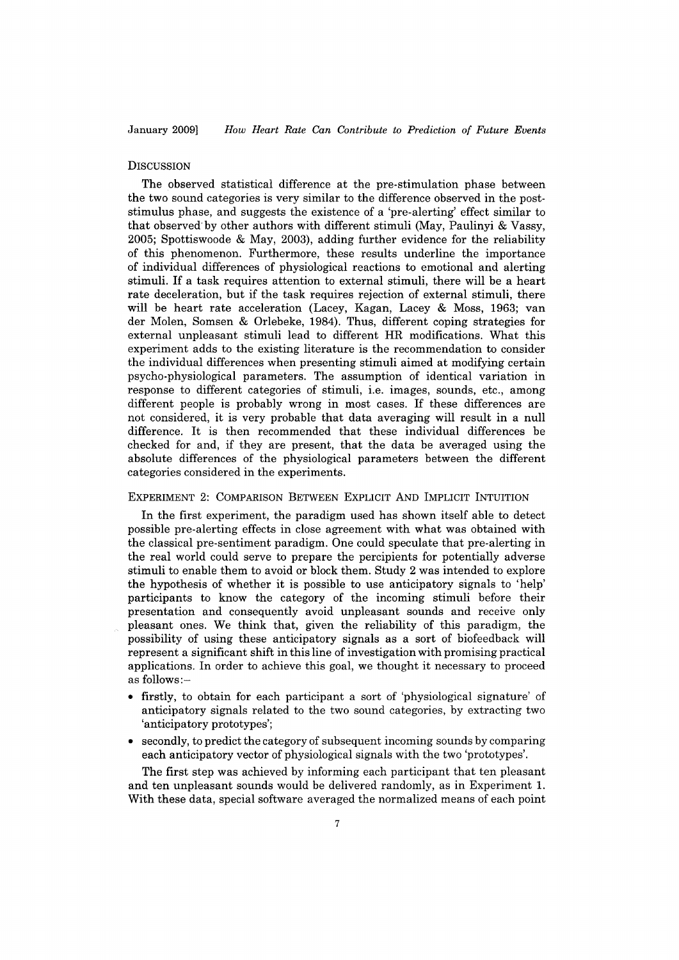### **DISCUSSION**

The observed statistical difference at the pre-stimulation phase between the two sound categories is very similar to the difference observed in the poststimulus phase, and suggests the existence of a 'pre-alerting' effect similar to that observed'by other authors with different stimuli (May, Paulinyi & Vassy, 2005; Spottiswoode & May, 2003), adding further evidence for the reliability of this phenomenon. Furthermore, these results underline the importance of individuaI differences of physiological reactions to emotional and alerting stimuli. If a task requires attention to external stimuli, there will be a heart rate deceleration, but if the task requires rejection of external stimuli, there will be heart rate acceleration (Lacey, Kagan, Lacey & Moss, 1963; van der Molen, Somsen & Orlebeke, 1984). Thus, different coping strategies for external unpleasant stimuli lead to different HR modifications. What this experiment adds to the existing literature is the recommendation to consider the individuaI differences when presenting stimuli aimed at modifying certain psycho-physiological parameters. The assumption of identical variation in response to different categories of stimuli, i.e. images, sounds, etc., among different people is probably wrong in most cases. If these differences are not considered, it is very probable that data averaging will result in a null difference. It is then recommended that these individuaI differences be checked for and, if they are present, that the data be averaged using the absolute differences of the physiological parameters between the different categories considered in the experiments.

# EXPERIMENT 2: COMPARISON BETWEEN EXPLICIT AND IMPLICIT INTUITION

In the first experiment, the paradigm used has shown itself able to detect possible pre-alerting effects in close agreement with what was obtained with the classical pre-sentiment paradigm. One could speculate that pre-alerting in the real world could serve to prepare the percipients for potentially adverse stimuli to enable them to avoid or block them. Study 2 was intended to explore the hypothesis of whether it is possible to use anticipatory signals to 'help' participants to know the category of the incoming stimuli before their presentation and consequently avoid unpleasant sounds and receive only pleasant ones. We think that, given the reliability of this paradigm, the possibility of using these anticipatory signals as a sort of biofeedback will represent a significant shift in this line of investigation with promising practical applications. In order to achieve this goal, we thought it necessary to proceed as follows:-

- firstly, to obtain for each participant a sort of 'physiological signature' of anticipatory signals related to the two sound categories, by extracting two 'anticipatory prototypes';
- secondly, to predict the category of subsequent incoming sounds by comparing each anticipatory vector of physiological signals with the two 'prototypes'.

The first step was achieved by informing each participant that ten pleasant and ten unpleasant sounds would be delivered randomly, as in Experiment 1. With these data, special software averaged the normalized means of each point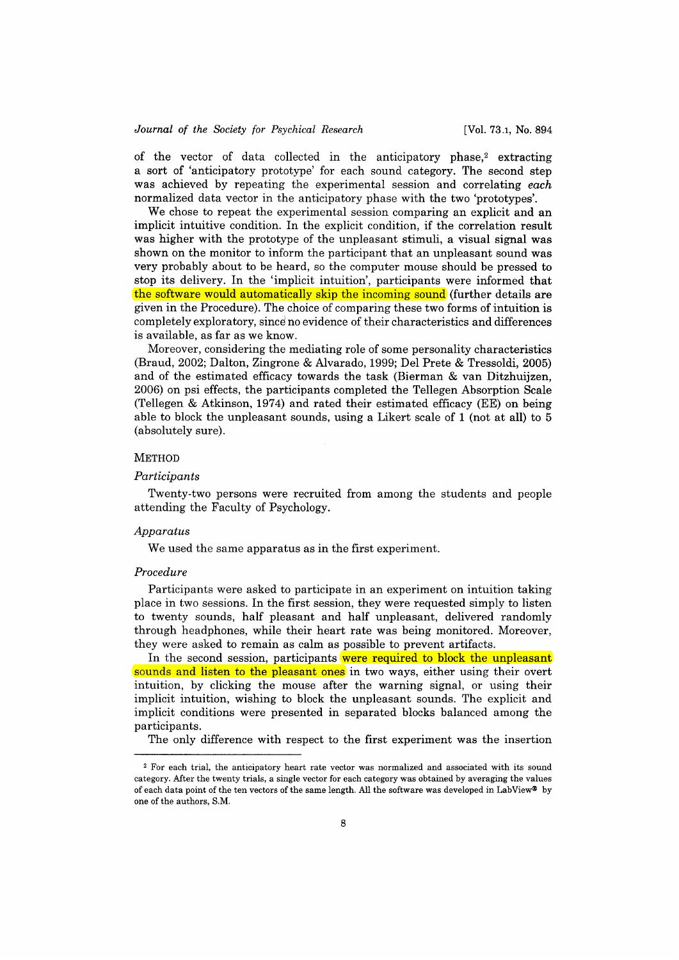of the vector of data collected in the anticipatory phase,<sup>2</sup> extracting a sort of 'anticipatory prototype' for each sound category. The second step was achieved by repeating the experimental session and correlating *each*  normalized data vector in the anticipatory phase with the two 'prototypes'.

We chose to repeat the experimental session comparing an explicit and an implicit intuitive condition. In the explicit condition, if the correlation result was higher with the prototype of the unpleasant stimuli, a visual signal was shown on the monitor to inform the participant that an unpleasant sound was very probably about to be heard, so the computer mouse should be pressed to stop its delivery. In the 'implicit intuition', participants were informed that the software would automaticalIy skip the incoming sound (further details are given in the Procedure). The choice of comparing these two forms of intuition is completely exploratory, since no evidence of their characteristics and differences is available, as far as we know.

Moreover, considering the mediating role of some personality characteristics (Braud, 2002; Dalton, Zingrone & Alvarado, 1999; Del Prete & Tressoldi, 2005) and of the estimated efficacy towards the task (Bierman & van Ditzhuijzen, 2006) on psi effects, the participants completed the Tellegen Absorption Scale (Tellegen & Atkinson, 1974) and rated their estimated efficacy (EE) on being able to block the unpleasant sounds, using a Likert scale of 1 (not at alI) to 5 (absolutely sure).

## METHOD

#### *Participants*

Twenty-two persons were recruited from among the students and people attending the Faculty of Psychology.

# *Apparatus*

We used the same apparatus as in the first experiment.

#### *Procedure*

Participants were asked to participate in an experiment on intuition taking place in two sessions. In the first session, they were requested simply to listen to twenty sounds, half pleasant and half unpleasant, delivered randomly through headphones, while their heart rate was being monitored. Moreover, they were asked to remain as calm as possible to prevent artifacts.

In the second session, participants were required to block the unpleasant sounds and listen to the pleasant ones in two ways, either using their overt intuition, by clicking the mouse after the warning signal, or using their implicit intuition, wishing to block the unpleasant sounds. The explicit and implicit conditions were presented in separated blocks balanced among the participants.

The only difference with respect to the first experiment was the insertion

<sup>2</sup> For each trial, the anticipatory heart rate vector was normalized and associated with its sound category. After the twenty trials, a single vector for each category was obtained by averaging the values of each data point of the ten vectors of the same length. AH the software was developed in LabView® by one of the authors, S.M.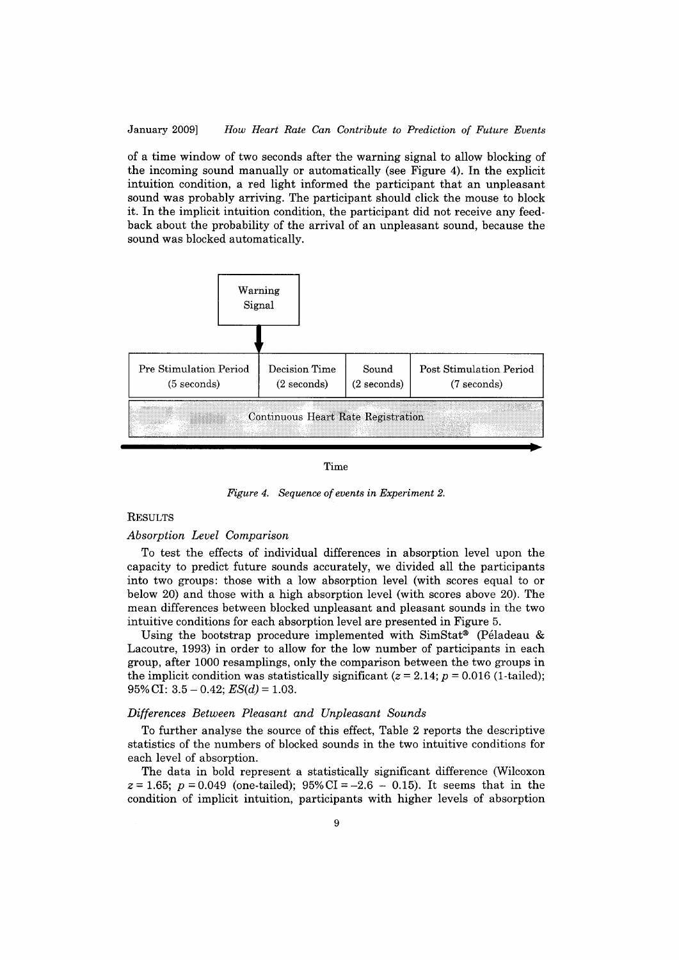## January 2009] *How Heart Rate Can Contribute to Prediction or Future Events*

of a time window of two seconds after the warning signal to alIow blocking of the incoming sound manualIy or automaticalIy (see Figure 4). In the explicit intuition condition, a red light informed the participant that an unpleasant sound was probably arriving. The participant should click the mouse to block it. In the implicit intuition condition, the participant did not receive any feedback about the probability of the arrivaI of an unpleasant sound, because the sound was blocked automaticalIy.



#### Time

*Figure 4. Sequence of events in Experiment 2.* 

# RESULTS

# *Absorption Level Comparison*

To test the effects of individuaI differences in absorption level upon the capacity to predict future sounds accurately, we divided alI the participants into two groups: those with a low absorption level (with scores equal to or below 20) and those with a high absorption level (with scores above 20). The mean differences between blocked unpleasant and pleasant sounds in the two intuitive conditions for each absorption level are presented in Figure 5.

Using the bootstrap procedure implemented with SimStat® (Péladeau & Lacoutre, 1993) in order to alIow for the low number of participants in each group, after 1000 resamplings, only the comparison between the two groups in the implicit condition was statistically significant ( $z = 2.14$ ;  $p = 0.016$  (1-tailed);  $95\%$  CI:  $3.5 - 0.42$ ;  $ES(d) = 1.03$ .

# *Differences Between Pleasant and Unpleasant Sounds*

To further analyse the source of this effect, Table 2 reports the descriptive statistics of the numbers of blocked sounds in the two intuitive conditions for each level of absorption.

The data in bold represent a statisticalIy significant difference (Wilcoxon  $z = 1.65$ ;  $p = 0.049$  (one-tailed);  $95\%$  CI = -2.6 - 0.15). It seems that in the condition of implicit intuition, participants with higher levels of absorption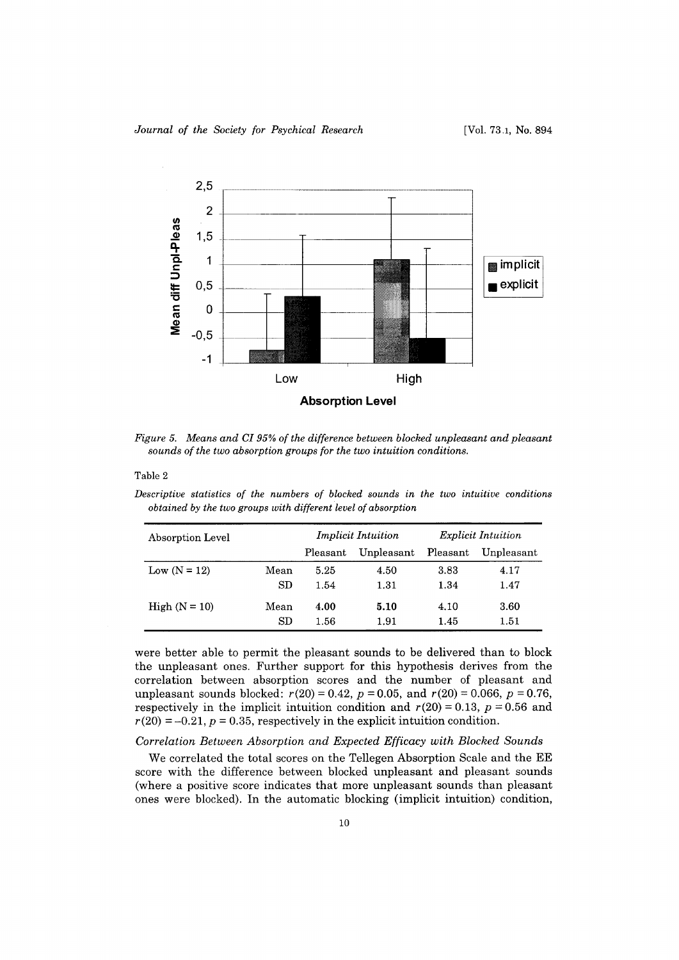

*Figure* 5. *Means and CI* 95% *of the difference between blocked unpleasant and pleasant sounds of the two absorption groups for the two intuition conditions.* 

Table 2

*Descriptive statistics of the numbers of blocked sounds in the two intuitive conditions obtained by the two groups with different level of absorption* 

| Absorption Level |      | <b>Implicit Intuition</b> |            | <i>Explicit Intuition</i> |            |
|------------------|------|---------------------------|------------|---------------------------|------------|
|                  |      | Pleasant                  | Unpleasant | Pleasant                  | Unpleasant |
| Low $(N = 12)$   | Mean | 5.25                      | 4.50       | 3.83                      | 4.17       |
|                  | SD   | 1.54                      | 1.31       | 1.34                      | 1.47       |
| High $(N = 10)$  | Mean | 4.00                      | 5.10       | 4.10                      | 3.60       |
|                  | SD   | 1.56                      | 1.91       | 1.45                      | 1.51       |

were better able to permit the pleasant sounds to be delivered than to block the unpleasant ones. Further support for this hypothesis derives from the correlation between absorption scores and the number of pleasant and unpleasant sounds blocked:  $r(20) = 0.42$ ,  $p = 0.05$ , and  $r(20) = 0.066$ ,  $p = 0.76$ , respectively in the implicit intuition condition and  $r(20) = 0.13$ ,  $p = 0.56$  and  $r(20) = -0.21$ ,  $p = 0.35$ , respectively in the explicit intuition condition.

# *Correlation Between Absorption and Expected Efficacy with Blocked Sounds*

We correlated the total scores on the Tellegen Absorption Scale and the EE score with the difference between blocked unpleasant and pleasant sounds (where a positive score indicates that more unpleasant sounds than pleasant ones were blocked). In the automatic blocking (implicit intuition) condition,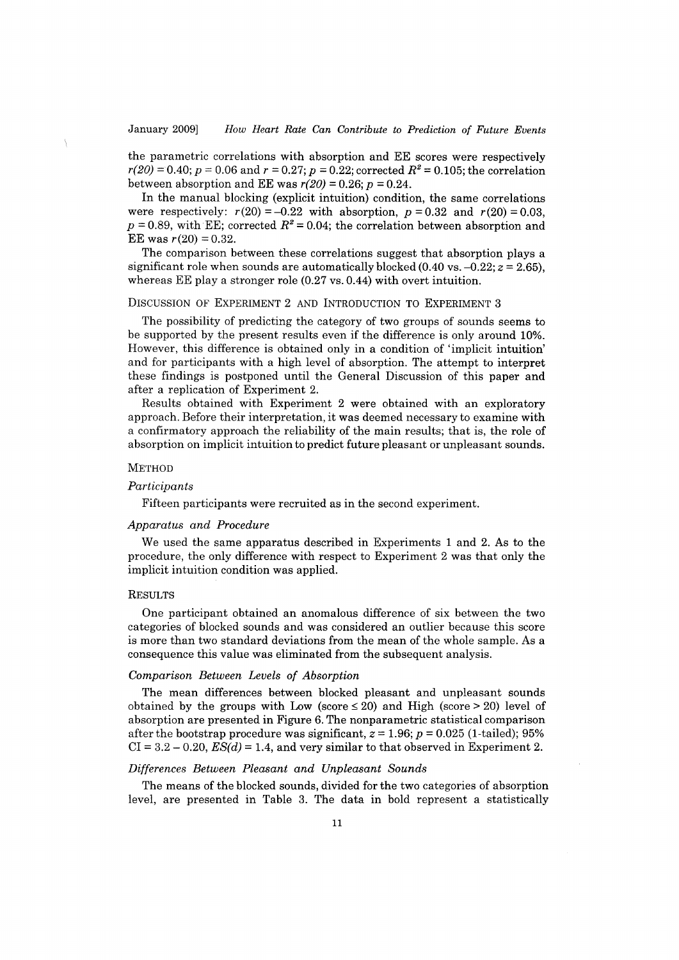the parametric correlations with absorption and EE scores were respectively  $r(20) = 0.40$ ;  $p = 0.06$  and  $r = 0.27$ ;  $p = 0.22$ ; corrected  $R^2 = 0.105$ ; the correlation between absorption and EE was  $r(20) = 0.26$ ;  $p = 0.24$ .

**In** the manual blocking (explicit intuition) condition, the same correlations were respectively:  $r(20) = -0.22$  with absorption,  $p = 0.32$  and  $r(20) = 0.03$ ,  $p = 0.89$ , with EE; corrected  $R^2 = 0.04$ ; the correlation between absorption and EE was  $r(20) = 0.32$ .

The comparison between these correlations suggest that absorption plays a significant role when sounds are automatically blocked  $(0.40 \text{ vs. } -0.22; z = 2.65)$ , whereas EE play a stronger role (0.27 vs. 0.44) with overt intuition.

## DISCUSSION OF EXPERIMENT 2 AND INTRODUCTION TO EXPERIMENT 3

The possibility of predicting the category of two groups of sounds seems to be supported by the present results even if the difference is only around 10%. However, this difference is obtained only in a condition of 'implicit intuition' and for participants with a high level of absorption. The attempt to interpret these findings is postponed until the GeneraI Discussion of this paper and after a replication of Experiment 2.

Results obtained with Experiment 2 were obtained with an exploratory approach. Before their interpretation, it was deemed necessary to examine with a confirmatory approach the reliability of the main results; that is, the role of absorption on implicit intuition to predict future pleasant or unpleasant sounds.

# METHOD

# *Participants*

Fifteen participants were recruited as in the second experiment.

## *Apparatus and Procedure*

We used the same apparatus described in Experiments 1 and 2. As to the procedure, the only difference with respect to Experiment 2 was that only the implicit intuition condition was applied.

### RESULTS

One participant obtained an anomalous differenee of six between the two eategories of blocked sounds and was eonsidered an outlier beeause this seore is more than two standard deviations from the mean of the whole sample. As a eonsequenee this value was eliminated from the subsequent analysis.

### *Comparison Between Levels of Absorption*

The mean differences between blocked pleasant and unpleasant sounds obtained by the groups with Low (score  $\leq 20$ ) and High (score  $> 20$ ) level of absorption are presented in Figure 6. The nonparametrie statistical eomparison after the bootstrap procedure was significant,  $z = 1.96$ ;  $p = 0.025$  (1-tailed); 95%  $CI = 3.2 - 0.20$ ,  $ES(d) = 1.4$ , and very similar to that observed in Experiment 2.

# *Differences Between Pleasant and Unpleasant Sounds*

The means of the blocked sounds, divided for the two eategories of absorption level, are presented in Table 3. The data in bold represent a statistically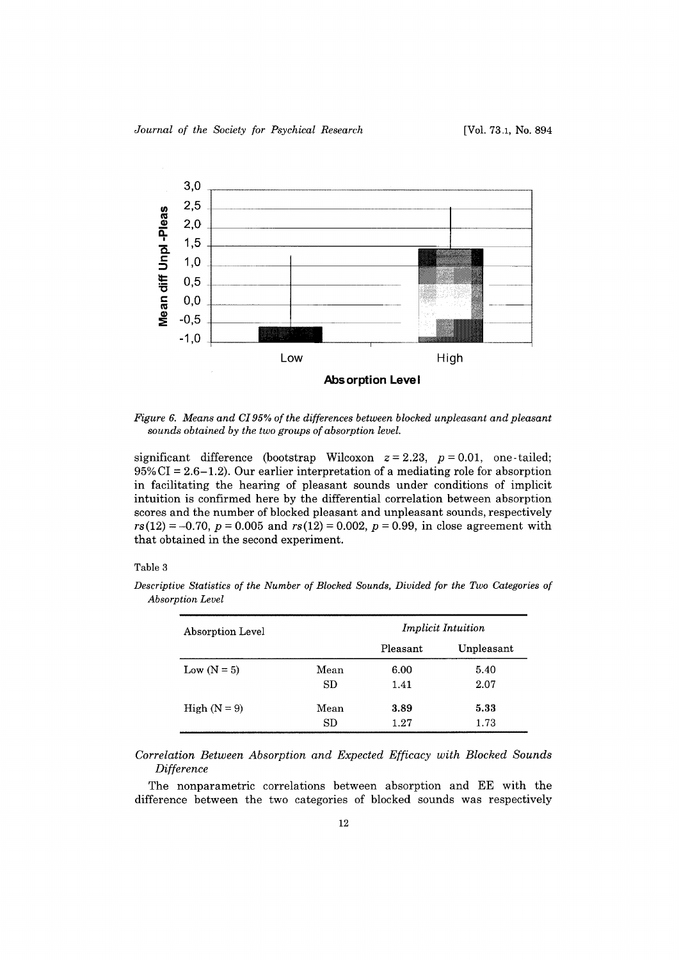

*Figure* 6. *Means and CI95% of the differences between bloched unpleasant and pleasant sounds obtained by the two groups of absorption level.* 

significant difference (bootstrap Wilcoxon  $z = 2.23$ ,  $p = 0.01$ , one-tailed;  $95\%$  CI = 2.6-1.2). Our earlier interpretation of a mediating role for absorption in facilitating the hearing of pleasant sounds under conditions of implicit intuition is confirmed here by the differential correlation between absorption scores and the number of blocked pleasant and unpleasant sounds, respectively  $rs(12) = -0.70$ ,  $p = 0.005$  and  $rs(12) = 0.002$ ,  $p = 0.99$ , in close agreement with that obtained in the second experiment.

# Table 3

| Absorption Level |      | <i>Implicit Intuition</i> |            |  |
|------------------|------|---------------------------|------------|--|
|                  |      | Pleasant                  | Unpleasant |  |
| Low $(N = 5)$    | Mean | 6.00                      | 5.40       |  |
|                  | SD.  | 1.41                      | 2.07       |  |
| High $(N = 9)$   | Mean | 3.89                      | 5.33       |  |
|                  | SD   | 1.27                      | 1.73       |  |

*Descriptive Statistics of the Number of Blocked Sounds, Divided far the Two Categories of Absorption Level* 

*Correlation Between Absorption and Expected Efficacy with Blocked Sounds Difference* 

The nonparametric correlations between absorption and EE with the difference between the two categories of blocked sounds was respectively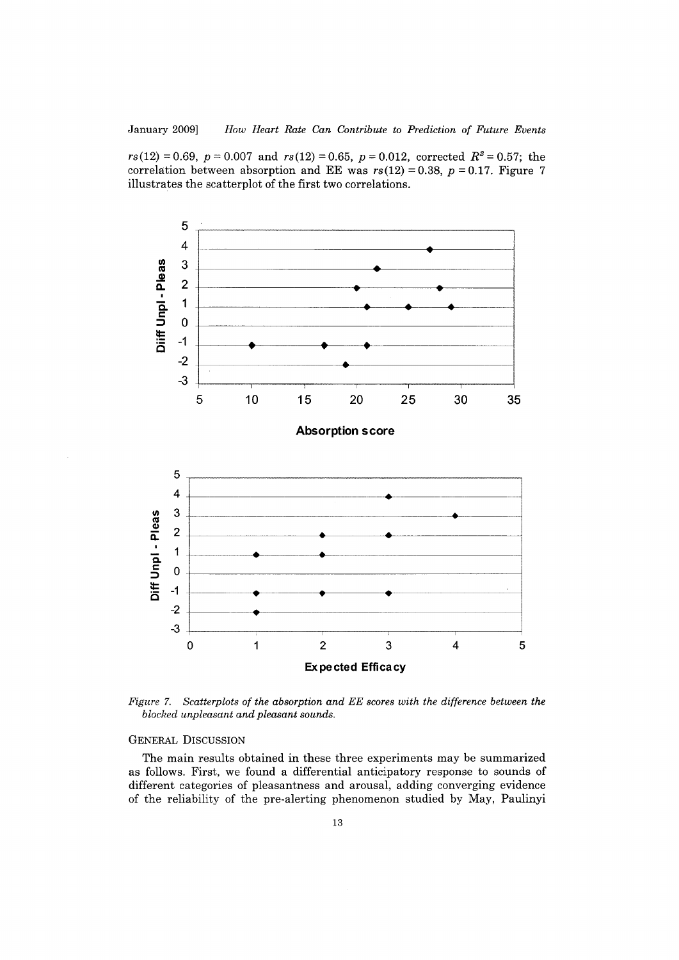$rs(12) = 0.69$ ,  $p = 0.007$  and  $rs(12) = 0.65$ ,  $p = 0.012$ , corrected  $R^2 = 0.57$ ; the correlation between absorption and EE was  $rs(12) = 0.38$ ,  $p = 0.17$ . Figure 7 illustrates the scatterplot of the first two correlations.



*Figure* 7. *Scatterplots of the absorption and EE scores with the difference between the blocked unpleasant and pleasant sounds.* 

### GENERAL DISCUSSION

The main results obtained in these three experiments may be summarized as follows. First, we found a differential anticipatory response to sounds of different categories of pleasantness and arousal, adding converging evidence of the reliability of the pre-alerting phenomenon studied by May, Paulinyi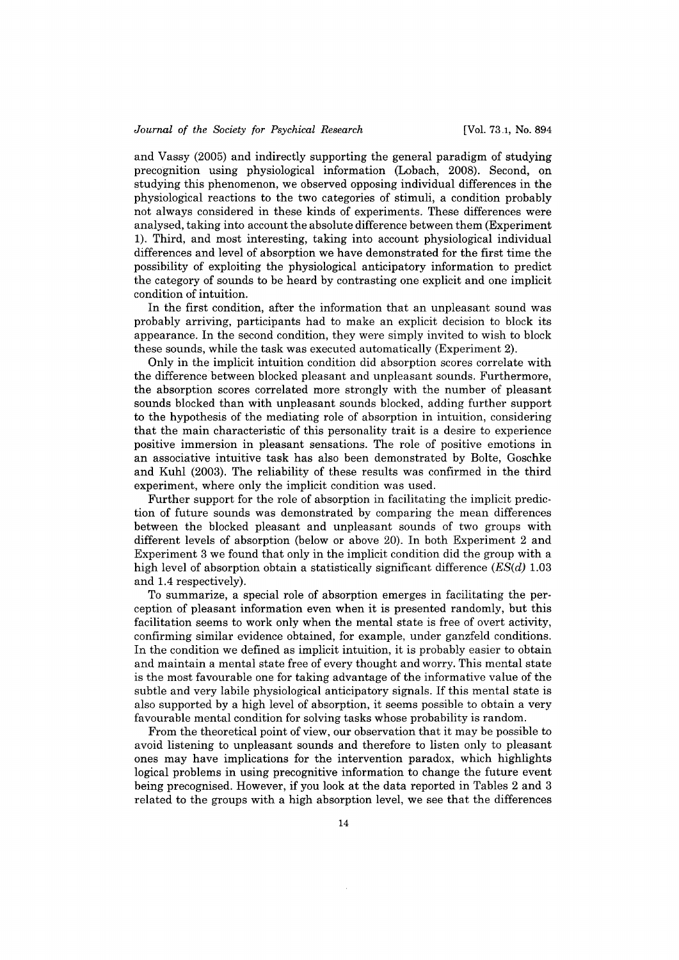and Vassy (2005) and indirectly supporting the generaI paradigm of studying precognition using physiological information (Lobach, 2008). Second, on studying this phenomenon, we observed opposing individuaI differences in the physiological reactions to the two categories of stimuli, a condition probably not always considered in these kinds of experiments. These differences were analysed, taking into account the absolute difference between them (Experiment 1). Third, and most interesting, taking into account physiological individuaI differences and level of absorption we have demonstrated for the first time the possibility of exploiting the physiological anticipatory information to predict the category of sounds to be heard by contrasting one explicit and one implicit condition of intuition.

In the first condition, after the information that an unpleasant sound was probably arriving, participants had to make an explicit decision to block its appearance. In the second condition, they were simply invited to wish to block these sounds, while the task was executed automatically (Experiment 2).

Only in the implicit intuition condition did absorption scores correlate with the difference between blocked pleasant and unpleasant sounds. Furthermore, the absorption scores correlated more strongly with the number of pleasant sounds blocked than with unpleasant sounds blocked, adding further support to the hypothesis of the mediating role of absorption in intuition, considering that the main characteristic of this personality trait is a desire to experience positive immersion in pleasant sensations. The role of positive emotions in an associative intuitive task has also been demonstrated by Bolte, Goschke and Kuhl (2003). The reliability of these results was confirmed in the third experiment, where only the implicit condition was used.

Further support for the role of absorption in facilitating the implicit prediction of future sounds was demonstrated by comparing the mean differences between the blocked pleasant and unpleasant sounds of two groups with different levels of absorption (below or above 20). In both Experiment 2 and Experiment 3 we found that only in the implicit condition did the group with a high level of absorption obtain a statistically significant difference  $(ES(d) 1.03$ and 1.4 respectively).

To summarize, a special role of absorption emerges in facilitating the perception of pleasant information even when it is presented randomly, but this facilitation seems to work only when the mental state is free of overt activity, confirming similar evidence obtained, for example, under ganzfeld conditions. In the condition we defined as implicit intuition, it is probably easier to obtain and maintain a mental state free of every thought and worry. This mental state is the most favourable one for taking advantage of the informative value of the subtle and very labile physiological anticipatory signals. If this mental state is also supported by a high level of absorption, it seems possible to obtain a very favourable mental condition for solving tasks whose probability is random.

From the theoretical point of view, our observation that it may be possible to avoid listening to unpleasant sounds and therefore to listen only to pleasant ones may have implications for the intervention paradox, which highlights logical problems in using precognitive information to change the future event being precognised. However, if you look at the data reported in Tables 2 and 3 related to the groups with a high absorption level, we see that the differences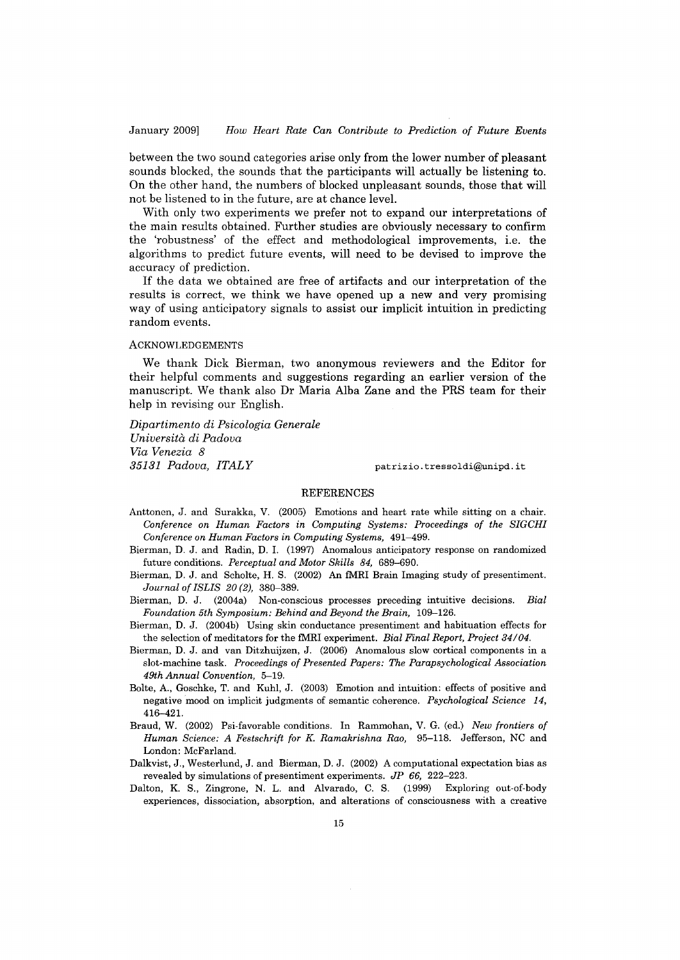January 2009] *How Heart Rate Can Contribute to Prediction ai Future Events* 

between the two sound categories arise only from the lower number of pleasant sounds blocked, the sounds that the participants will actually be listening to. On the other hand, the numbers of blocked unpleasant sounds, those that will not be listened to in the future, are at chance level.

With only two experiments we prefer not to expand our interpretations of the main results obtained. Further studies are obviously necessary to confirm the 'robustness' of the effect and methodological improvements, i.e. the algorithms to predict future events, will need to be devised to improve the accuracy of prediction.

If the data we obtained are free of artifacts and our interpretation of the results is correct, we think we have opened up a new and very promising way of using anticipatory signals to assist our implicit intuition in predicting random events.

# ACKNOWLEDGEMENTS

We thank Dick Bierman, two anonymous reviewers and the Editor for their helpful comments and suggestions regarding an earlier version of the manuscript. We thank also Dr Maria Alba Zane and the PRS team for their help in revising our English.

*Dipartimento di Psicologia Generale Università di Padova Via Venezia 8 35131 Padova, ITALY* patrizio.tressoldi@Yunipd.it

# REFERENCES

- Anttonen, J. and Surakka, V. (2005) Emotions and heart rate while sitting on a chair. *Conference on Human Factors in Computing Systems: Proceedings of the SIGCHI Conference on Human Factors in Computing Systems, 491-499.*
- Bierman, D. J. and Radin, D. I. (1997) Anomalous anticipatory response on randomized future conditions. *Perceptual and Motor Skills* 84, 689-690.
- Bierman, D. J. and Scholte, H. S. (2002) An fMRI Brain Imaging study of presentiment. *Journal of ISLIS 20* (2), 380-389.
- Bierman, D. J. (2004a) Non-conscious processes preceding intuitive decisions. *Eial Foundation 5th Symposium: Eehind and Eeyond the Erain, 109-126.*
- Bierman, D. J. (2004b) Using skin conductance presentiment and habituation effects for the selection of meditators for the fMRI experiment. *Eial Final Report, Project 34/04.*
- Bierman, D. J. and van Ditzhuijzen, J. (2006) Anomalous slow cortical components in a slot-machine task. *Proceedings of Presented Papers: The Parapsychological Association 49th Annual Convention, 5-19.*
- Bolte, A., Goschke, T. and Kuhl, J. (2003) Emotion and intuition: effects of positive and negative mood on implicit judgments of semantic coherence. *Psychological Science 14,*  416-42 l.
- Braud, W. (2002) Psi-favorable conditions. In Rammohan, V. G. (ed.) *New frontiers of Human Science: A Festschrift for* K. *Ramakrishna Rao,* 95-118. Jefferson, NC and London: McFarland.
- Dalkvist, J., Westerlund, J. and Bierman, D. J. (2002) A computational expectation bias as revealed by simulations of presentiment experiments. *JP* 66, 222-223.
- Dalton, K. S., Zingrone, N. L. and Alvarado, C. S. (1999) Exploring out-of-body experiences, dissociation, absorption, and alterations of consciousness with a creative